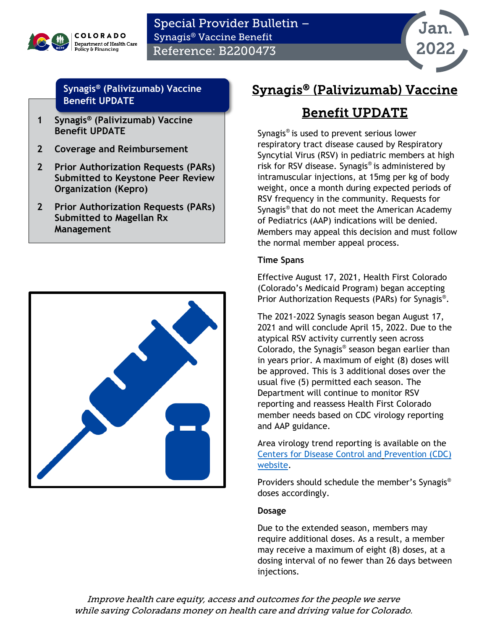

Special Provider Bulletin – Synagis® Vaccine Benefit Reference: B2200473



#### **Synagis® [\(Palivizumab\) Vaccine](#page-0-0)  [Benefit UPDATE](#page-0-0)**

- **[1](#page-0-0) Synagis® [\(Palivizumab\) Vaccine](#page-0-0)  [Benefit UPDATE](#page-0-0)**
- **[2](#page-1-0) [Coverage and Reimbursement](#page-1-0)**
- **[2](#page-1-1) [Prior Authorization Requests \(PARs\)](#page-1-1)  [Submitted to Keystone Peer Review](#page-1-1)  [Organization \(Kepro\)](#page-1-1)**
- **[2](#page-1-2) [Prior Authorization Requests \(PARs\)](#page-1-2)  [Submitted to Magellan Rx](#page-1-2)  [Management](#page-1-2)**



# <span id="page-0-0"></span>Synagis® (Palivizumab) Vaccine

# Benefit UPDATE

Synagis® is used to prevent serious lower respiratory tract disease caused by Respiratory Syncytial Virus (RSV) in pediatric members at high risk for RSV disease. Synagis® is administered by intramuscular injections, at 15mg per kg of body weight, once a month during expected periods of RSV frequency in the community. Requests for Synagis® that do not meet the American Academy of Pediatrics (AAP) indications will be denied. Members may appeal this decision and must follow the normal member appeal process.

#### **Time Spans**

Effective August 17, 2021, Health First Colorado (Colorado's Medicaid Program) began accepting Prior Authorization Requests (PARs) for Synagis®.

The 2021-2022 Synagis season began August 17, 2021 and will conclude April 15, 2022. Due to the atypical RSV activity currently seen across Colorado, the Synagis ® season began earlier than in years prior. A maximum of eight (8) doses will be approved. This is 3 additional doses over the usual five (5) permitted each season. The Department will continue to monitor RSV reporting and reassess Health First Colorado member needs based on CDC virology reporting and AAP guidance.

Area virology trend reporting is available on the [Centers for Disease Control and](http://www.cdc.gov/) [Prevention \(CDC\)](http://www.cdc.gov/)  [website.](http://www.cdc.gov/)

Providers should schedule the member's Synagis® doses accordingly.

#### **Dosage**

Due to the extended season, members may require additional doses. As a result, a member may receive a maximum of eight (8) doses, at a dosing interval of no fewer than 26 days between injections.

Improve health care equity, access and outcomes for the people we serve while saving Coloradans money on health care and driving value for Colorado.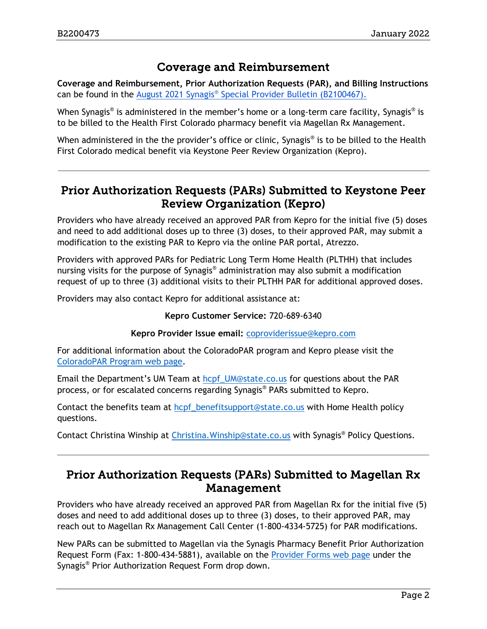### Coverage and Reimbursement

<span id="page-1-0"></span>**Coverage and Reimbursement, Prior Authorization Requests (PAR), and Billing Instructions**  can be found in the August 2021 Synagis® [Special Provider Bulletin](https://hcpf.colorado.gov/sites/hcpf/files/Bulletin_0821_B2100467.pdf) (B2100467).

When Synagis<sup>®</sup> is administered in the member's home or a long-term care facility, Synagis<sup>®</sup> is to be billed to the Health First Colorado pharmacy benefit via Magellan Rx Management.

When administered in the the provider's office or clinic, Synagis<sup>®</sup> is to be billed to the Health First Colorado medical benefit via Keystone Peer Review Organization (Kepro).

## <span id="page-1-1"></span>Prior Authorization Requests (PARs) Submitted to Keystone Peer Review Organization (Kepro)

Providers who have already received an approved PAR from Kepro for the initial five (5) doses and need to add additional doses up to three (3) doses, to their approved PAR, may submit a modification to the existing PAR to Kepro via the online PAR portal, Atrezzo.

Providers with approved PARs for Pediatric Long Term Home Health (PLTHH) that includes nursing visits for the purpose of Synagis® administration may also submit a modification request of up to three (3) additional visits to their PLTHH PAR for additional approved doses.

Providers may also contact Kepro for additional assistance at:

#### **Kepro Customer Service:** 720-689-6340

#### **Kepro Provider Issue email:** [coproviderissue@kepro.com](mailto:coproviderissue@kepro.com)

For additional information about the ColoradoPAR program and Kepro please visit the [ColoradoPAR Program web page.](https://hcpf.colorado.gov/par)

Email the Department's UM Team at [hcpf\\_UM@state.co.us](mailto:hcpf_UM@state.co.us) for questions about the PAR process, or for escalated concerns regarding Synagis® PARs submitted to Kepro.

Contact the benefits team at [hcpf\\_benefitsupport@state.co.us](mailto:hcpf_benefitsupport@state.co.us) with Home Health policy questions.

Contact Christina Winship at [Christina.Winship@state.co.us](mailto:Christina.Winship@state.co.us) with Synagis® Policy Questions.

## <span id="page-1-2"></span>Prior Authorization Requests (PARs) Submitted to Magellan Rx Management

Providers who have already received an approved PAR from Magellan Rx for the initial five (5) doses and need to add additional doses up to three (3) doses, to their approved PAR, may reach out to Magellan Rx Management Call Center (1-800-4334-5725) for PAR modifications.

New PARs can be submitted to Magellan via the Synagis Pharmacy Benefit Prior Authorization Request Form (Fax: 1-800-434-5881), available on the [Provider Forms web page](https://hcpf.colorado.gov/provider-forms) under the Synagis® Prior Authorization Request Form drop down.